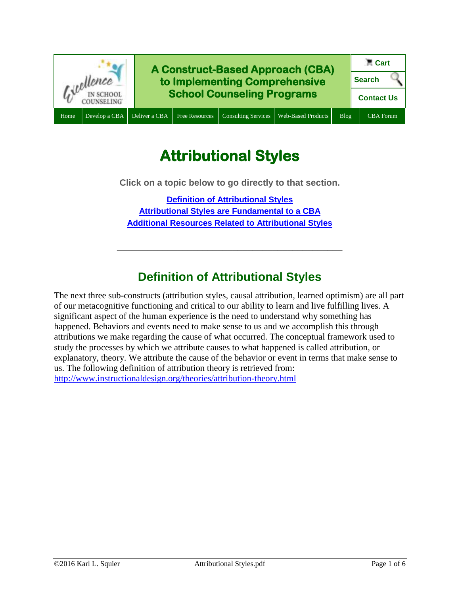

# **Attributional Styles**

**Click on a topic below to go directly to that section.**

**[Definition of Attributional Styles](#page-0-0) [Attributional Styles are](#page-2-0) Fundamental to a CBA [Additional Resources Related to Attributional Styles](#page-4-0)**

# **Definition of Attributional Styles**

**\_\_\_\_\_\_\_\_\_\_\_\_\_\_\_\_\_\_\_\_\_\_\_\_\_\_\_\_\_\_\_\_\_\_\_\_\_\_\_\_\_\_\_\_\_**

<span id="page-0-0"></span>The next three sub-constructs (attribution styles, causal attribution, learned optimism) are all part of our metacognitive functioning and critical to our ability to learn and live fulfilling lives. A significant aspect of the human experience is the need to understand why something has happened. Behaviors and events need to make sense to us and we accomplish this through attributions we make regarding the cause of what occurred. The conceptual framework used to study the processes by which we attribute causes to what happened is called attribution, or explanatory, theory. We attribute the cause of the behavior or event in terms that make sense to us. The following definition of attribution theory is retrieved from: <http://www.instructionaldesign.org/theories/attribution-theory.html>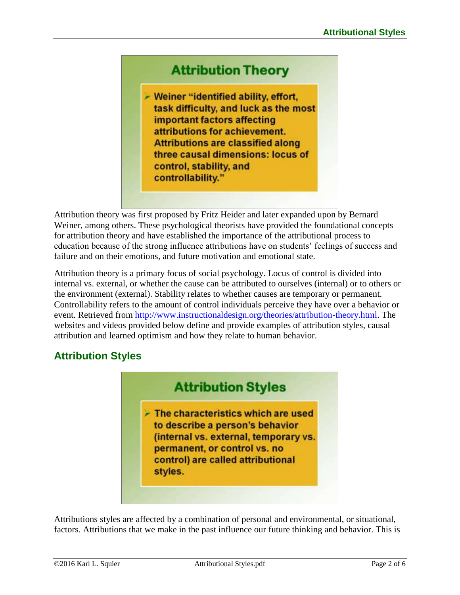## **Attribution Theory**

- Weiner "identified ability, effort, task difficulty, and luck as the most important factors affecting attributions for achievement. **Attributions are classified along** three causal dimensions: locus of control, stability, and controllability."

Attribution theory was first proposed by Fritz Heider and later expanded upon by Bernard Weiner, among others. These psychological theorists have provided the foundational concepts for attribution theory and have established the importance of the attributional process to education because of the strong influence attributions have on students' feelings of success and failure and on their emotions, and future motivation and emotional state.

Attribution theory is a primary focus of social psychology. Locus of control is divided into internal vs. external, or whether the cause can be attributed to ourselves (internal) or to others or the environment (external). Stability relates to whether causes are temporary or permanent. Controllability refers to the amount of control individuals perceive they have over a behavior or event. Retrieved from [http://www.instructionaldesign.org/theories/attribution-theory.html.](http://www.instructionaldesign.org/theories/attribution-theory.html) The websites and videos provided below define and provide examples of attribution styles, causal attribution and learned optimism and how they relate to human behavior.

### **Attribution Styles**



Attributions styles are affected by a combination of personal and environmental, or situational, factors. Attributions that we make in the past influence our future thinking and behavior. This is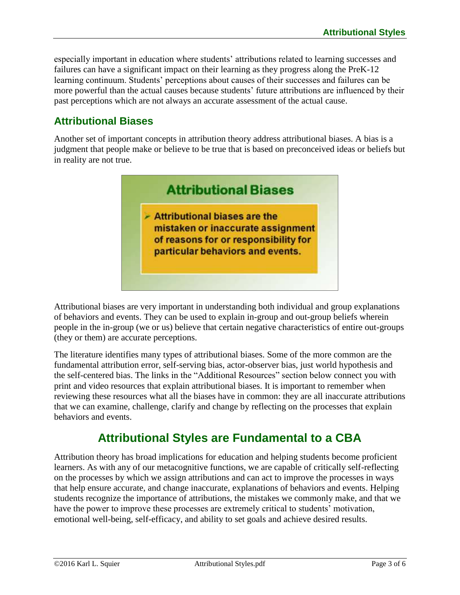especially important in education where students' attributions related to learning successes and failures can have a significant impact on their learning as they progress along the PreK-12 learning continuum. Students' perceptions about causes of their successes and failures can be more powerful than the actual causes because students' future attributions are influenced by their past perceptions which are not always an accurate assessment of the actual cause.

## **Attributional Biases**

Another set of important concepts in attribution theory address attributional biases. A bias is a judgment that people make or believe to be true that is based on preconceived ideas or beliefs but in reality are not true.



Attributional biases are very important in understanding both individual and group explanations of behaviors and events. They can be used to explain in-group and out-group beliefs wherein people in the in-group (we or us) believe that certain negative characteristics of entire out-groups (they or them) are accurate perceptions.

The literature identifies many types of attributional biases. Some of the more common are the fundamental attribution error, self-serving bias, actor-observer bias, just world hypothesis and the self-centered bias. The links in the "Additional Resources" section below connect you with print and video resources that explain attributional biases. It is important to remember when reviewing these resources what all the biases have in common: they are all inaccurate attributions that we can examine, challenge, clarify and change by reflecting on the processes that explain behaviors and events.

## **Attributional Styles are Fundamental to a CBA**

<span id="page-2-0"></span>Attribution theory has broad implications for education and helping students become proficient learners. As with any of our metacognitive functions, we are capable of critically self-reflecting on the processes by which we assign attributions and can act to improve the processes in ways that help ensure accurate, and change inaccurate, explanations of behaviors and events. Helping students recognize the importance of attributions, the mistakes we commonly make, and that we have the power to improve these processes are extremely critical to students' motivation, emotional well-being, self-efficacy, and ability to set goals and achieve desired results.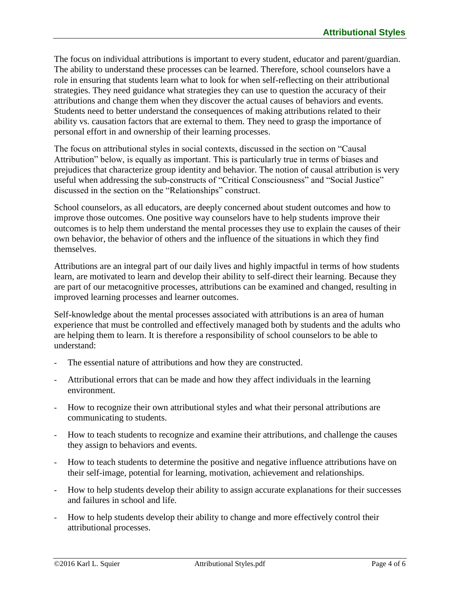The focus on individual attributions is important to every student, educator and parent/guardian. The ability to understand these processes can be learned. Therefore, school counselors have a role in ensuring that students learn what to look for when self-reflecting on their attributional strategies. They need guidance what strategies they can use to question the accuracy of their attributions and change them when they discover the actual causes of behaviors and events. Students need to better understand the consequences of making attributions related to their ability vs. causation factors that are external to them. They need to grasp the importance of personal effort in and ownership of their learning processes.

The focus on attributional styles in social contexts, discussed in the section on "Causal Attribution" below, is equally as important. This is particularly true in terms of biases and prejudices that characterize group identity and behavior. The notion of causal attribution is very useful when addressing the sub-constructs of "Critical Consciousness" and "Social Justice" discussed in the section on the "Relationships" construct.

School counselors, as all educators, are deeply concerned about student outcomes and how to improve those outcomes. One positive way counselors have to help students improve their outcomes is to help them understand the mental processes they use to explain the causes of their own behavior, the behavior of others and the influence of the situations in which they find themselves.

Attributions are an integral part of our daily lives and highly impactful in terms of how students learn, are motivated to learn and develop their ability to self-direct their learning. Because they are part of our metacognitive processes, attributions can be examined and changed, resulting in improved learning processes and learner outcomes.

Self-knowledge about the mental processes associated with attributions is an area of human experience that must be controlled and effectively managed both by students and the adults who are helping them to learn. It is therefore a responsibility of school counselors to be able to understand:

- The essential nature of attributions and how they are constructed.
- Attributional errors that can be made and how they affect individuals in the learning environment.
- How to recognize their own attributional styles and what their personal attributions are communicating to students.
- How to teach students to recognize and examine their attributions, and challenge the causes they assign to behaviors and events.
- How to teach students to determine the positive and negative influence attributions have on their self-image, potential for learning, motivation, achievement and relationships.
- How to help students develop their ability to assign accurate explanations for their successes and failures in school and life.
- How to help students develop their ability to change and more effectively control their attributional processes.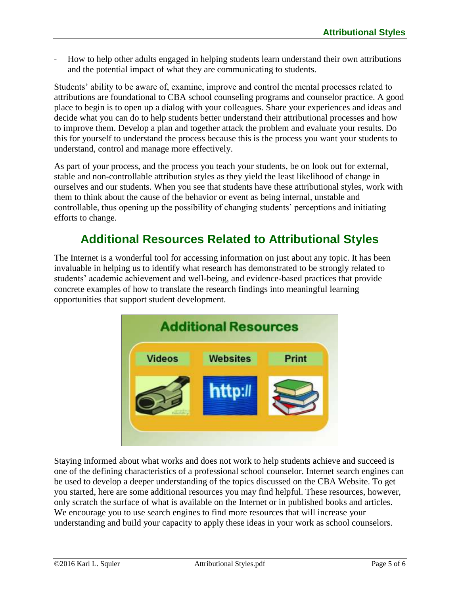- How to help other adults engaged in helping students learn understand their own attributions and the potential impact of what they are communicating to students.

Students' ability to be aware of, examine, improve and control the mental processes related to attributions are foundational to CBA school counseling programs and counselor practice. A good place to begin is to open up a dialog with your colleagues. Share your experiences and ideas and decide what you can do to help students better understand their attributional processes and how to improve them. Develop a plan and together attack the problem and evaluate your results. Do this for yourself to understand the process because this is the process you want your students to understand, control and manage more effectively.

As part of your process, and the process you teach your students, be on look out for external, stable and non-controllable attribution styles as they yield the least likelihood of change in ourselves and our students. When you see that students have these attributional styles, work with them to think about the cause of the behavior or event as being internal, unstable and controllable, thus opening up the possibility of changing students' perceptions and initiating efforts to change.

## **Additional Resources Related to Attributional Styles**

<span id="page-4-0"></span>The Internet is a wonderful tool for accessing information on just about any topic. It has been invaluable in helping us to identify what research has demonstrated to be strongly related to students' academic achievement and well-being, and evidence-based practices that provide concrete examples of how to translate the research findings into meaningful learning opportunities that support student development.



Staying informed about what works and does not work to help students achieve and succeed is one of the defining characteristics of a professional school counselor. Internet search engines can be used to develop a deeper understanding of the topics discussed on the CBA Website. To get you started, here are some additional resources you may find helpful. These resources, however, only scratch the surface of what is available on the Internet or in published books and articles. We encourage you to use search engines to find more resources that will increase your understanding and build your capacity to apply these ideas in your work as school counselors.